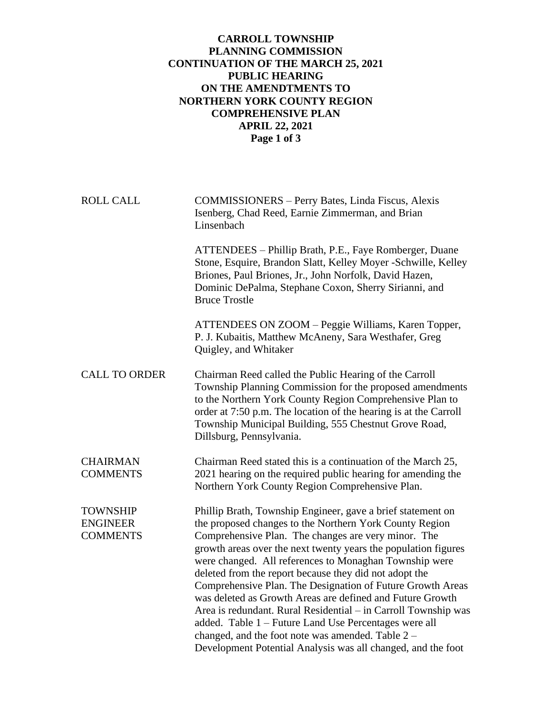## **CARROLL TOWNSHIP PLANNING COMMISSION CONTINUATION OF THE MARCH 25, 2021 PUBLIC HEARING ON THE AMENDTMENTS TO NORTHERN YORK COUNTY REGION COMPREHENSIVE PLAN APRIL 22, 2021 Page 1 of 3**

ROLL CALL COMMISSIONERS – Perry Bates, Linda Fiscus, Alexis Isenberg, Chad Reed, Earnie Zimmerman, and Brian Linsenbach

> ATTENDEES – Phillip Brath, P.E., Faye Romberger, Duane Stone, Esquire, Brandon Slatt, Kelley Moyer -Schwille, Kelley Briones, Paul Briones, Jr., John Norfolk, David Hazen, Dominic DePalma, Stephane Coxon, Sherry Sirianni, and Bruce Trostle

ATTENDEES ON ZOOM – Peggie Williams, Karen Topper, P. J. Kubaitis, Matthew McAneny, Sara Westhafer, Greg Quigley, and Whitaker

CALL TO ORDER Chairman Reed called the Public Hearing of the Carroll Township Planning Commission for the proposed amendments to the Northern York County Region Comprehensive Plan to order at 7:50 p.m. The location of the hearing is at the Carroll Township Municipal Building, 555 Chestnut Grove Road, Dillsburg, Pennsylvania.

CHAIRMAN Chairman Reed stated this is a continuation of the March 25, COMMENTS 2021 hearing on the required public hearing for amending the Northern York County Region Comprehensive Plan.

TOWNSHIP Phillip Brath, Township Engineer, gave a brief statement on ENGINEER the proposed changes to the Northern York County Region COMMENTS Comprehensive Plan. The changes are very minor. The growth areas over the next twenty years the population figures were changed. All references to Monaghan Township were deleted from the report because they did not adopt the Comprehensive Plan. The Designation of Future Growth Areas was deleted as Growth Areas are defined and Future Growth Area is redundant. Rural Residential – in Carroll Township was added. Table 1 – Future Land Use Percentages were all changed, and the foot note was amended. Table 2 – Development Potential Analysis was all changed, and the foot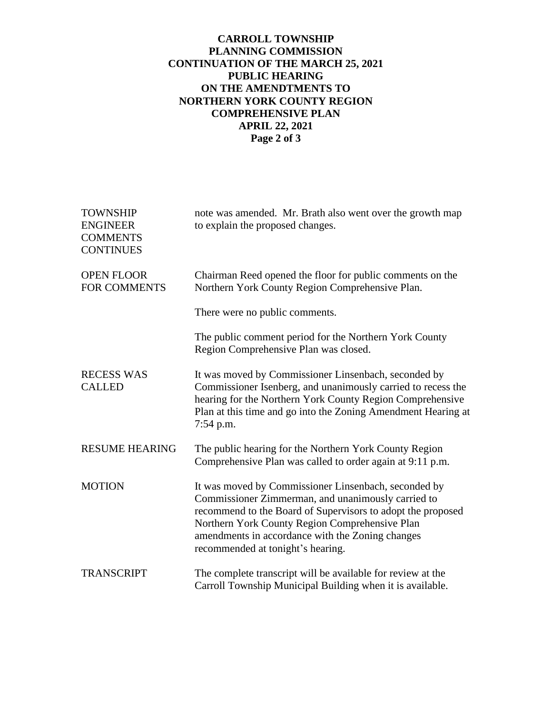## **CARROLL TOWNSHIP PLANNING COMMISSION CONTINUATION OF THE MARCH 25, 2021 PUBLIC HEARING ON THE AMENDTMENTS TO NORTHERN YORK COUNTY REGION COMPREHENSIVE PLAN APRIL 22, 2021 Page 2 of 3**

| <b>TOWNSHIP</b><br><b>ENGINEER</b><br><b>COMMENTS</b><br><b>CONTINUES</b> | note was amended. Mr. Brath also went over the growth map<br>to explain the proposed changes.                                                                                                                                                                                                                        |
|---------------------------------------------------------------------------|----------------------------------------------------------------------------------------------------------------------------------------------------------------------------------------------------------------------------------------------------------------------------------------------------------------------|
| <b>OPEN FLOOR</b><br><b>FOR COMMENTS</b>                                  | Chairman Reed opened the floor for public comments on the<br>Northern York County Region Comprehensive Plan.                                                                                                                                                                                                         |
|                                                                           | There were no public comments.                                                                                                                                                                                                                                                                                       |
|                                                                           | The public comment period for the Northern York County<br>Region Comprehensive Plan was closed.                                                                                                                                                                                                                      |
| <b>RECESS WAS</b><br><b>CALLED</b>                                        | It was moved by Commissioner Linsenbach, seconded by<br>Commissioner Isenberg, and unanimously carried to recess the<br>hearing for the Northern York County Region Comprehensive<br>Plan at this time and go into the Zoning Amendment Hearing at<br>$7:54$ p.m.                                                    |
| <b>RESUME HEARING</b>                                                     | The public hearing for the Northern York County Region<br>Comprehensive Plan was called to order again at 9:11 p.m.                                                                                                                                                                                                  |
| <b>MOTION</b>                                                             | It was moved by Commissioner Linsenbach, seconded by<br>Commissioner Zimmerman, and unanimously carried to<br>recommend to the Board of Supervisors to adopt the proposed<br>Northern York County Region Comprehensive Plan<br>amendments in accordance with the Zoning changes<br>recommended at tonight's hearing. |
| <b>TRANSCRIPT</b>                                                         | The complete transcript will be available for review at the<br>Carroll Township Municipal Building when it is available.                                                                                                                                                                                             |